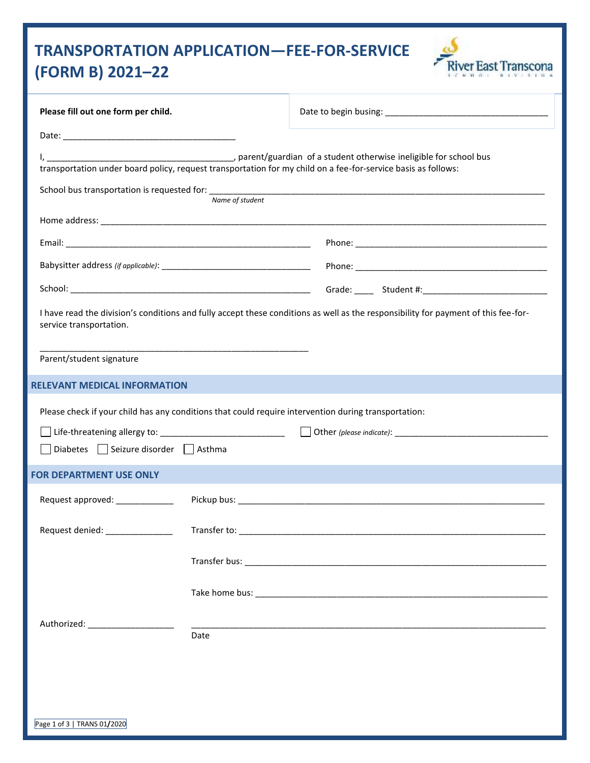# **TRANSPORTATION APPLICATION—FEE-FOR-SERVICE (FORM B) 2021–22**



| Please fill out one form per child.                                                                                                                           |                 |                                                                                                               |  |  |
|---------------------------------------------------------------------------------------------------------------------------------------------------------------|-----------------|---------------------------------------------------------------------------------------------------------------|--|--|
|                                                                                                                                                               |                 |                                                                                                               |  |  |
|                                                                                                                                                               | Name of student | transportation under board policy, request transportation for my child on a fee-for-service basis as follows: |  |  |
|                                                                                                                                                               |                 |                                                                                                               |  |  |
|                                                                                                                                                               |                 |                                                                                                               |  |  |
|                                                                                                                                                               |                 |                                                                                                               |  |  |
|                                                                                                                                                               |                 |                                                                                                               |  |  |
| I have read the division's conditions and fully accept these conditions as well as the responsibility for payment of this fee-for-<br>service transportation. |                 |                                                                                                               |  |  |
| <u> 1989 - Johann John Stone, markin amerikan bisa di sebagai pertama dan bagian dan bagian dan bisa di sebagai p</u><br>Parent/student signature             |                 |                                                                                                               |  |  |
| <b>RELEVANT MEDICAL INFORMATION</b>                                                                                                                           |                 |                                                                                                               |  |  |
| Please check if your child has any conditions that could require intervention during transportation:                                                          |                 |                                                                                                               |  |  |
|                                                                                                                                                               |                 |                                                                                                               |  |  |
| Diabetes Seizure disorder Asthma                                                                                                                              |                 |                                                                                                               |  |  |
| <b>FOR DEPARTMENT USE ONLY</b>                                                                                                                                |                 |                                                                                                               |  |  |
| Request approved: ____________                                                                                                                                |                 |                                                                                                               |  |  |
|                                                                                                                                                               |                 |                                                                                                               |  |  |
|                                                                                                                                                               |                 |                                                                                                               |  |  |
|                                                                                                                                                               |                 |                                                                                                               |  |  |
| Authorized: ____________________                                                                                                                              |                 |                                                                                                               |  |  |
|                                                                                                                                                               | Date            |                                                                                                               |  |  |
|                                                                                                                                                               |                 |                                                                                                               |  |  |
|                                                                                                                                                               |                 |                                                                                                               |  |  |
|                                                                                                                                                               |                 |                                                                                                               |  |  |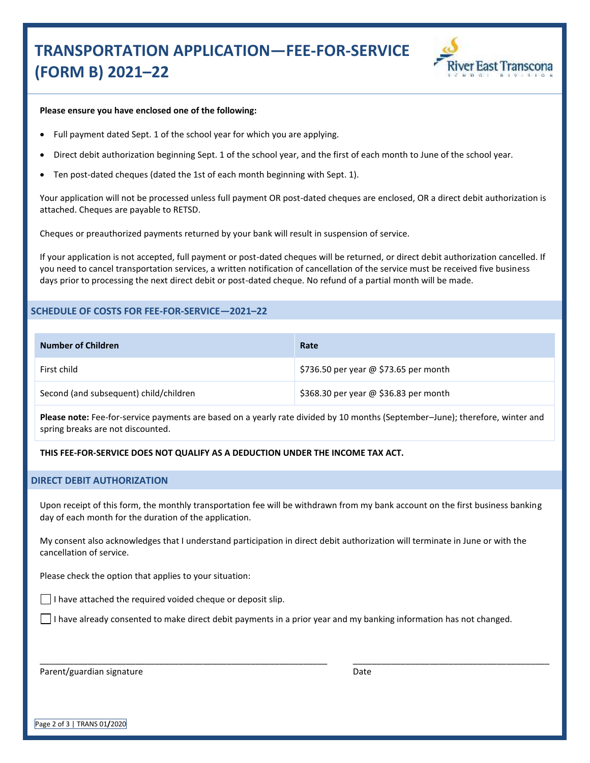# **TRANSPORTATION APPLICATION—FEE-FOR-SERVICE (FORM B) 2021–22**



#### **Please ensure you have enclosed one of the following:**

- Full payment dated Sept. 1 of the school year for which you are applying.
- Direct debit authorization beginning Sept. 1 of the school year, and the first of each month to June of the school year.
- Ten post-dated cheques (dated the 1st of each month beginning with Sept. 1).

Your application will not be processed unless full payment OR post-dated cheques are enclosed, OR a direct debit authorization is attached. Cheques are payable to RETSD.

Cheques or preauthorized payments returned by your bank will result in suspension of service.

If your application is not accepted, full payment or post-dated cheques will be returned, or direct debit authorization cancelled. If you need to cancel transportation services, a written notification of cancellation of the service must be received five business days prior to processing the next direct debit or post-dated cheque. No refund of a partial month will be made.

### **SCHEDULE OF COSTS FOR FEE-FOR-SERVICE—2021–22**

| <b>Number of Children</b>              | Rate                                  |
|----------------------------------------|---------------------------------------|
| First child                            | \$736.50 per year @ \$73.65 per month |
| Second (and subsequent) child/children | \$368.30 per year @ \$36.83 per month |

**Please note:** Fee-for-service payments are based on a yearly rate divided by 10 months (September–June); therefore, winter and spring breaks are not discounted.

#### **THIS FEE-FOR-SERVICE DOES NOT QUALIFY AS A DEDUCTION UNDER THE INCOME TAX ACT.**

#### **DIRECT DEBIT AUTHORIZATION**

Upon receipt of this form, the monthly transportation fee will be withdrawn from my bank account on the first business banking day of each month for the duration of the application.

My consent also acknowledges that I understand participation in direct debit authorization will terminate in June or with the cancellation of service.

Please check the option that applies to your situation:

 $\Box$  I have attached the required voided cheque or deposit slip.

\_\_\_\_\_\_\_\_\_\_\_\_\_\_\_\_\_\_\_\_\_\_\_\_\_\_\_\_\_\_\_\_\_\_\_\_\_\_\_\_\_\_\_\_\_\_\_\_\_\_\_\_\_\_\_\_\_\_\_\_

 $\Box$  I have already consented to make direct debit payments in a prior year and my banking information has not changed.

Parent/guardian signature

Date

\_\_\_\_\_\_\_\_\_\_\_\_\_\_\_\_\_\_\_\_\_\_\_\_\_\_\_\_\_\_\_\_\_\_\_\_\_\_\_\_\_

Page 2 of 3 | TRANS 01**/**2020